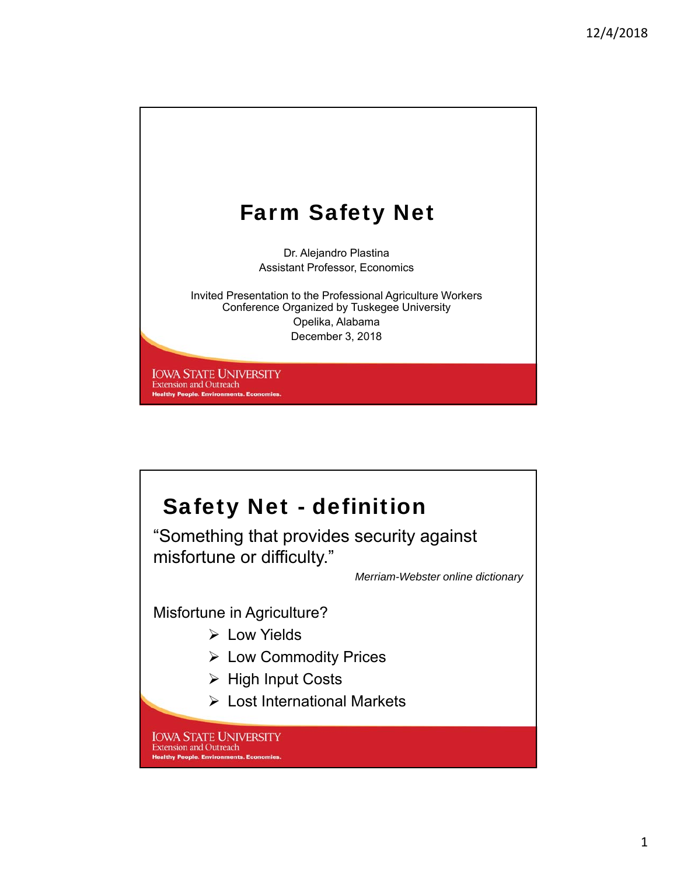

# Safety Net - definition

"Something that provides security against misfortune or difficulty."

*Merriam-Webster online dictionary*

Misfortune in Agriculture?

- Low Yields
- Low Commodity Prices
- $\triangleright$  High Input Costs
- Lost International Markets

**IOWA STATE UNIVERSITY** Extension and Outreach **Healthy People. Environments. Economies**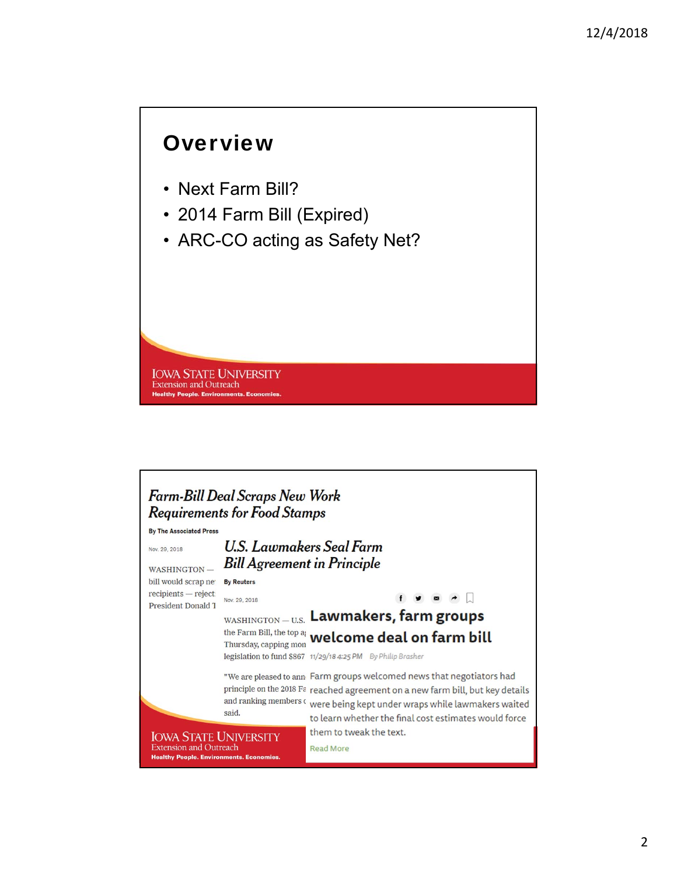### **Overview**

- Next Farm Bill?
- 2014 Farm Bill (Expired)
- ARC-CO acting as Safety Net?

**IOWA STATE UNIVERSITY Extension and Outreach Healthy People. Environments. E** 

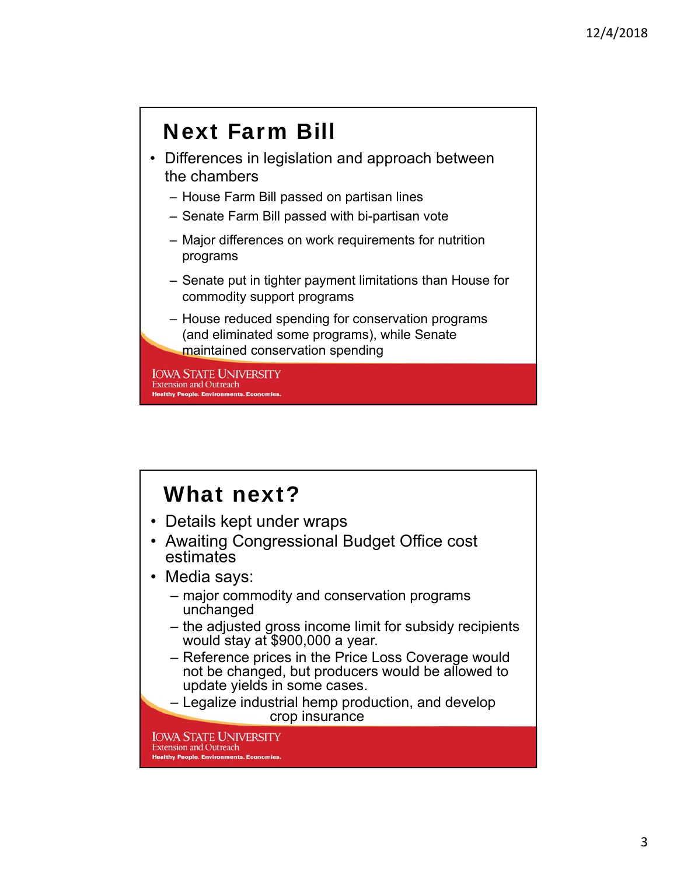# Next Farm Bill

- Differences in legislation and approach between the chambers
	- House Farm Bill passed on partisan lines
	- Senate Farm Bill passed with bi-partisan vote
	- Major differences on work requirements for nutrition programs
	- Senate put in tighter payment limitations than House for commodity support programs
	- House reduced spending for conservation programs (and eliminated some programs), while Senate maintained conservation spending

**IOWA STATE UNIVERSITY Extension and Outreach Healthy People. Environments. Ec** 

# What next?

- Details kept under wraps
- Awaiting Congressional Budget Office cost estimates
- Media says:
	- major commodity and conservation programs unchanged
	- the adjusted gross income limit for subsidy recipients would stay at \$900,000 a year.
	- Reference prices in the Price Loss Coverage would not be changed, but producers would be allowed to update yields in some cases.
	- Legalize industrial hemp production, and develop crop insurance

**IOWA STATE UNIVERSITY Extension and Outreach Healthy People, Environments, Economies**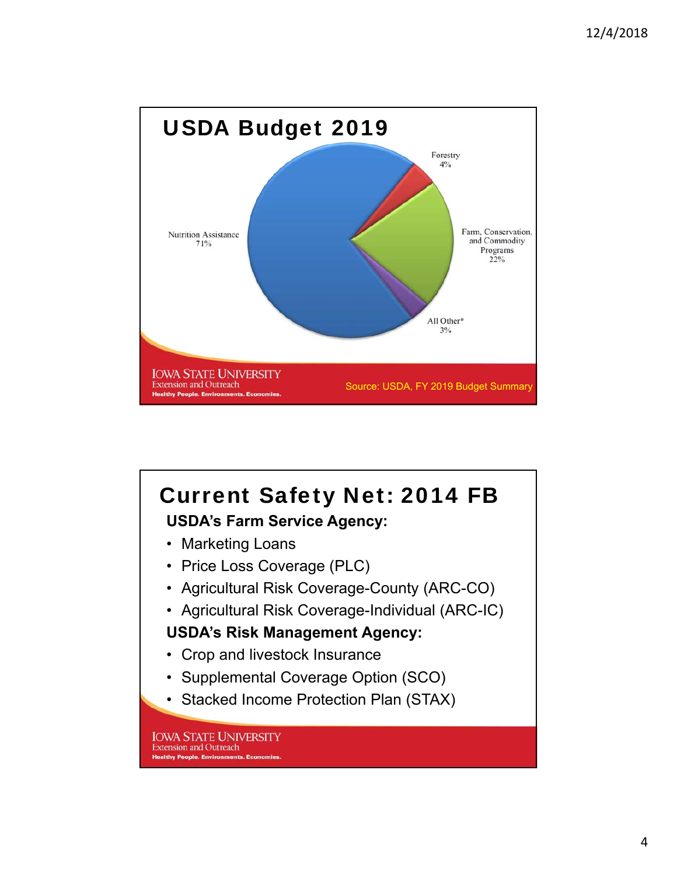

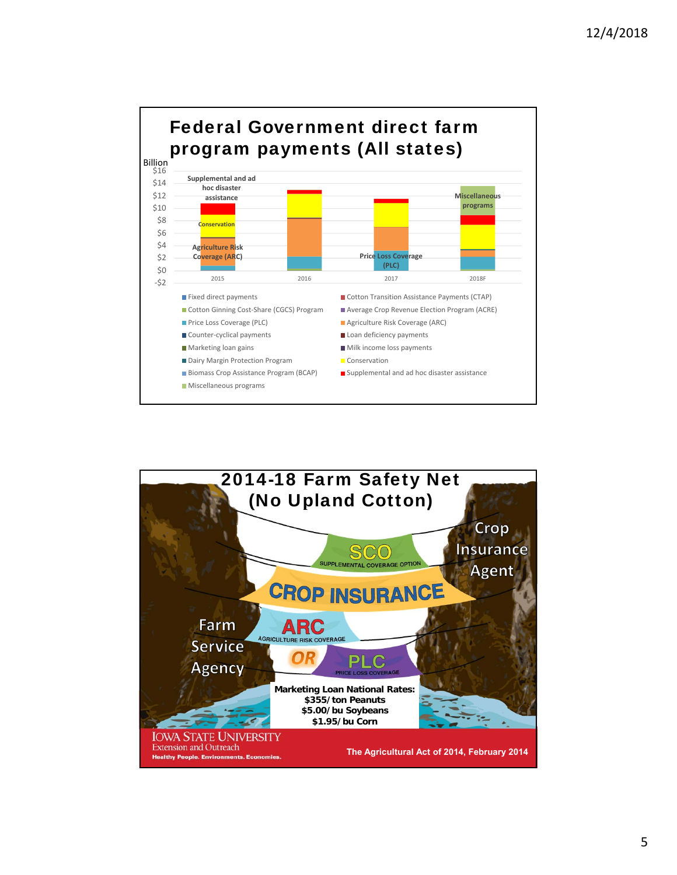

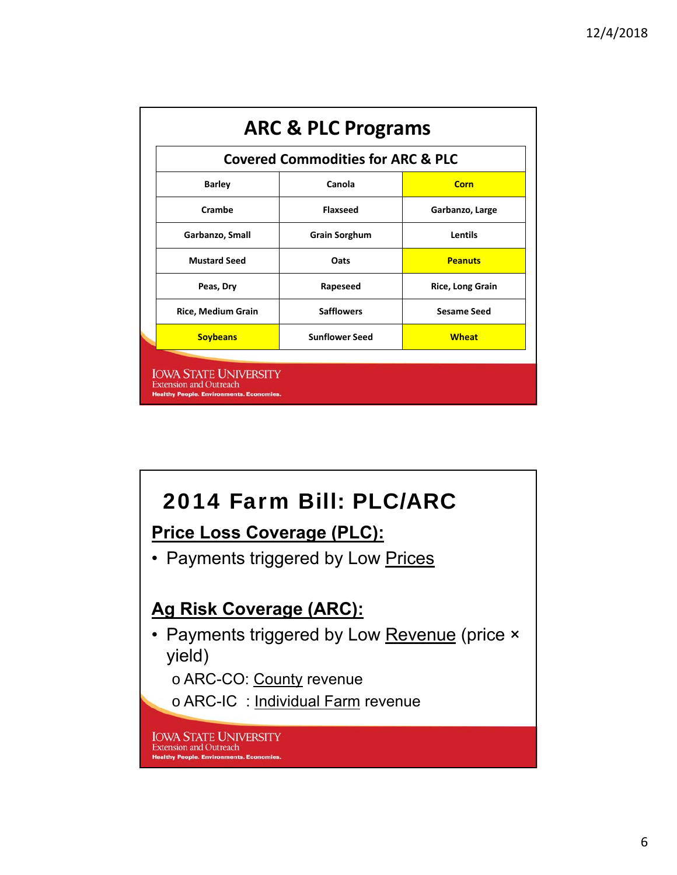| <b>Covered Commodities for ARC &amp; PLC</b> |                       |                         |  |
|----------------------------------------------|-----------------------|-------------------------|--|
| <b>Barley</b>                                | Canola                | Corn                    |  |
| Crambe                                       | <b>Flaxseed</b>       | Garbanzo, Large         |  |
| Garbanzo, Small                              | <b>Grain Sorghum</b>  | Lentils                 |  |
| <b>Mustard Seed</b>                          | Oats                  | <b>Peanuts</b>          |  |
| Peas, Dry                                    | Rapeseed              | <b>Rice, Long Grain</b> |  |
| <b>Rice, Medium Grain</b>                    | <b>Safflowers</b>     | <b>Sesame Seed</b>      |  |
| <b>Soybeans</b>                              | <b>Sunflower Seed</b> | <b>Wheat</b>            |  |

# 2014 Farm Bill: PLC/ARC

#### **Price Loss Coverage (PLC):**

• Payments triggered by Low Prices

#### **Ag Risk Coverage (ARC):**

• Payments triggered by Low Revenue (price × yield)

o ARC-CO: County revenue

o ARC-IC : Individual Farm revenue

**IOWA STATE UNIVERSITY**<br>Extension and Outreach **Healthy People. Environments. Economies**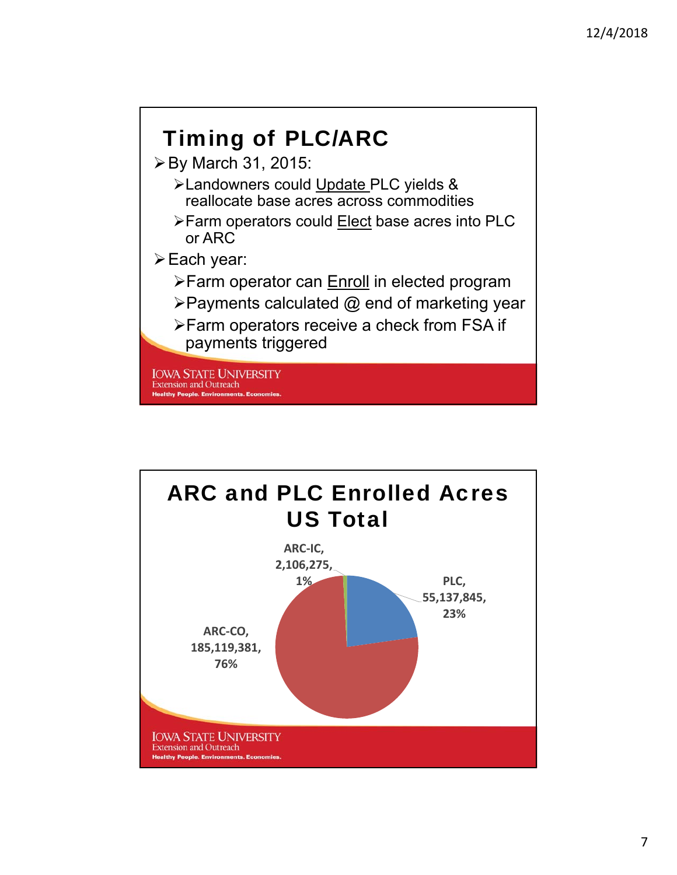

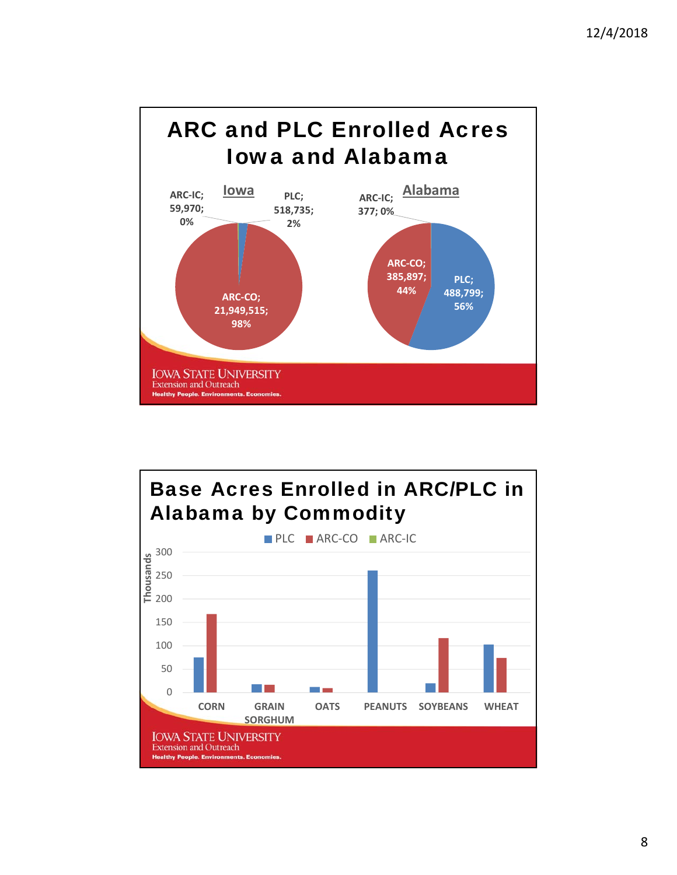

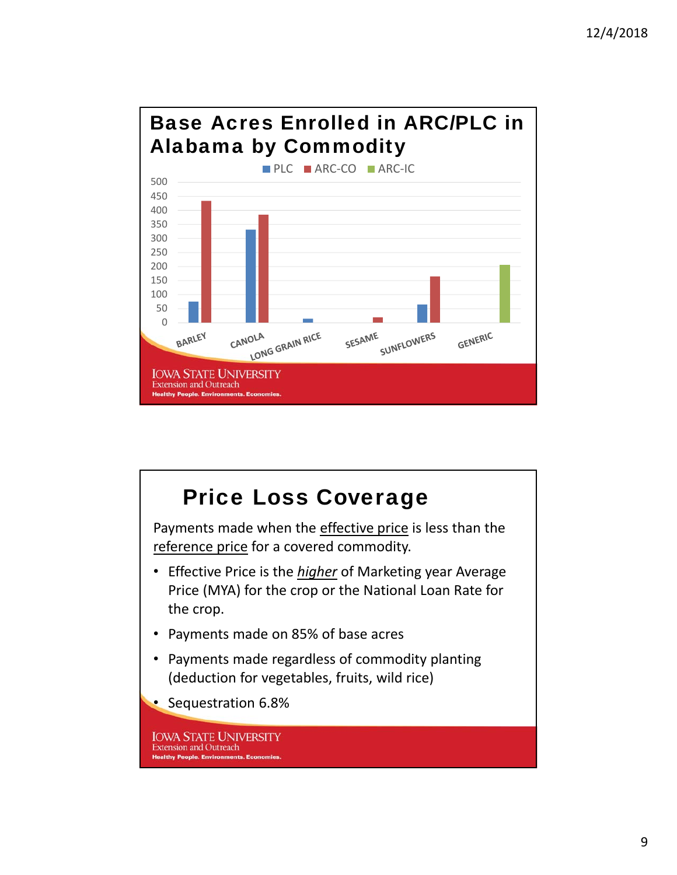### Base Acres Enrolled in ARC/PLC in Alabama by Commodity



#### Price Loss Coverage Payments made when the effective price is less than the reference price for a covered commodity. • Effective Price is the *higher* of Marketing year Average Price (MYA) for the crop or the National Loan Rate for the crop. • Payments made on 85% of base acres • Payments made regardless of commodity planting (deduction for vegetables, fruits, wild rice) • Sequestration 6.8%**IOWA STATE UNIVERSITY Extension and Outreach Healthy People. Environments. Eco**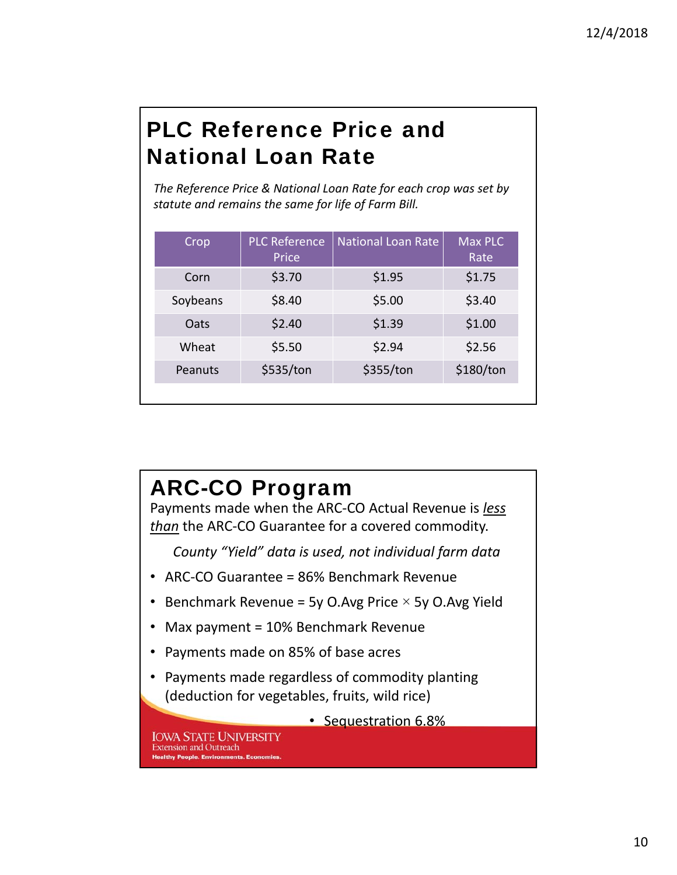# PLC Reference Price and National Loan Rate

*The Reference Price & National Loan Rate for each crop was set by statute and remains the same for life of Farm Bill.*

| Crop     | <b>PLC Reference</b><br>Price | <b>National Loan Rate</b> | Max PLC<br>Rate |
|----------|-------------------------------|---------------------------|-----------------|
| Corn     | \$3.70                        | \$1.95                    | \$1.75          |
| Soybeans | \$8.40                        | \$5.00                    | \$3.40          |
| Oats     | \$2.40                        | \$1.39                    | \$1.00          |
| Wheat    | \$5.50                        | \$2.94                    | \$2.56          |
| Peanuts  | \$535/ton                     | \$355/ton                 | \$180/ton       |
|          |                               |                           |                 |

# ARC-CO Program

Payments made when the ARC‐CO Actual Revenue is *less than* the ARC‐CO Guarantee for a covered commodity.

*County "Yield" data is used, not individual farm data*

- ARC‐CO Guarantee = 86% Benchmark Revenue
- Benchmark Revenue = 5y O.Avg Price  $\times$  5y O.Avg Yield
- Max payment = 10% Benchmark Revenue
- Payments made on 85% of base acres
- Payments made regardless of commodity planting (deduction for vegetables, fruits, wild rice)

• Sequestration 6.8%

**IOWA STATE UNIVERSITY Extension and Outreach Healthy People, Environments, Economies**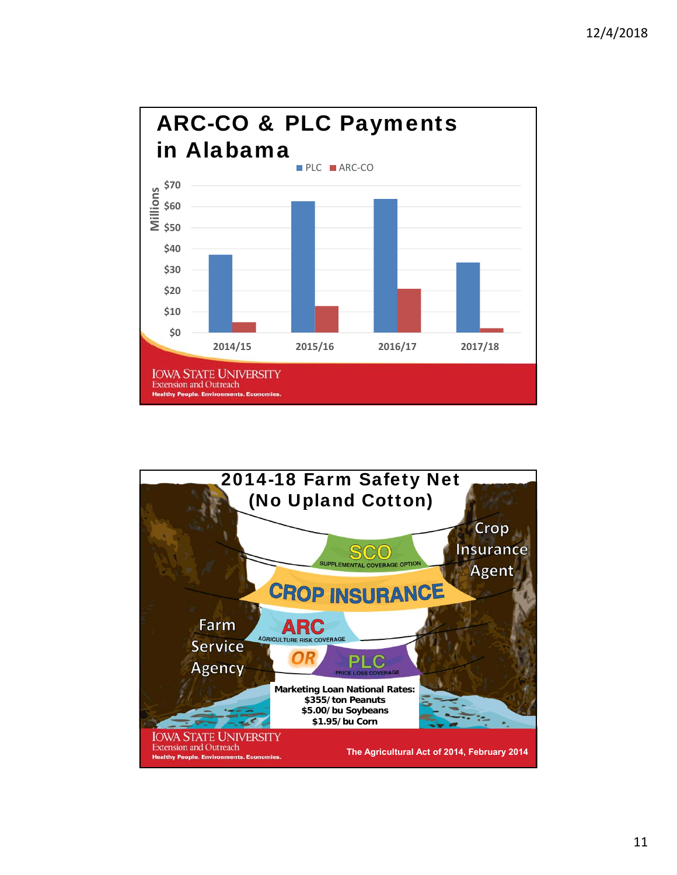

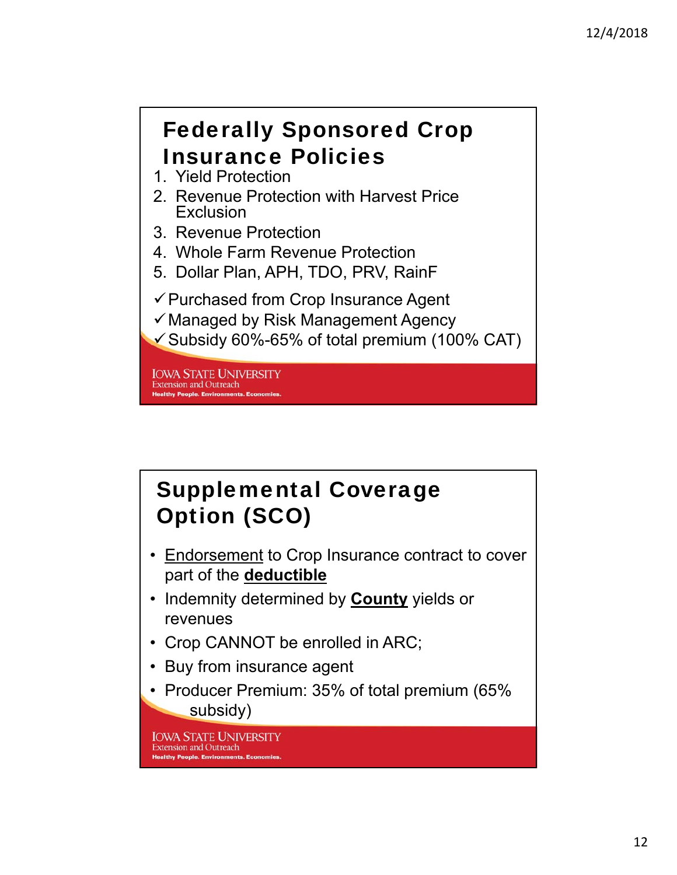# Federally Sponsored Crop Insurance Policies

- 1. Yield Protection
- 2. Revenue Protection with Harvest Price Exclusion
- 3. Revenue Protection
- 4. Whole Farm Revenue Protection
- 5. Dollar Plan, APH, TDO, PRV, RainF
- $\checkmark$  Purchased from Crop Insurance Agent
- $\checkmark$  Managed by Risk Management Agency
- $\checkmark$  Subsidy 60%-65% of total premium (100% CAT)

**IOWA STATE UNIVERSITY Extension and Outreach Healthy People. Environments. E** 

### Supplemental Coverage Option (SCO)

- Endorsement to Crop Insurance contract to cover part of the **deductible**
- Indemnity determined by **County** yields or revenues
- Crop CANNOT be enrolled in ARC;
- Buy from insurance agent
- Producer Premium: 35% of total premium (65% subsidy)

**IOWA STATE UNIVERSITY Extension and Outreach Healthy People, Environments, Eco**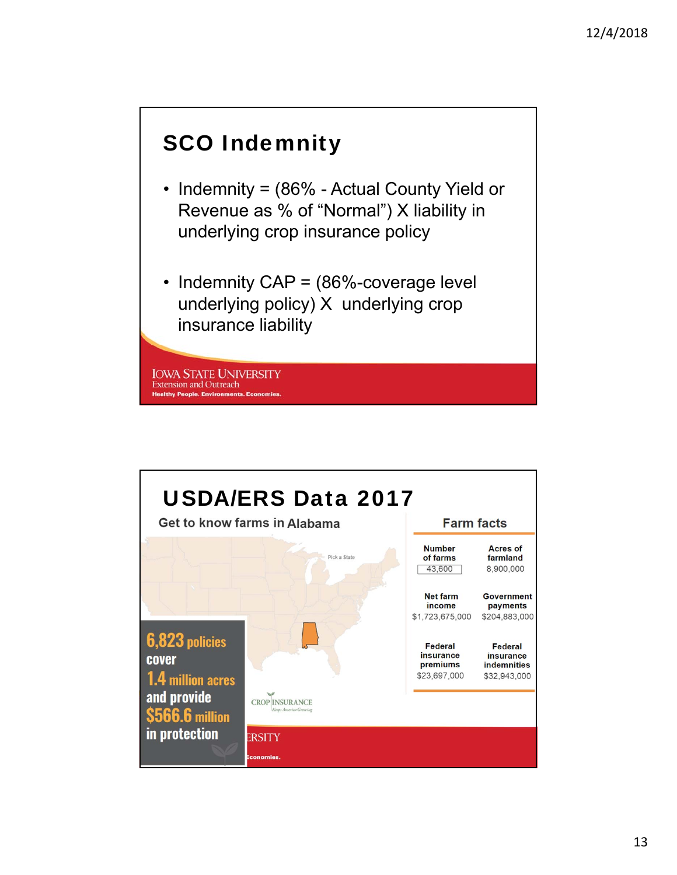### SCO Indemnity

- Indemnity = (86% Actual County Yield or Revenue as % of "Normal") X liability in underlying crop insurance policy
- Indemnity CAP = (86%-coverage level underlying policy) X underlying crop insurance liability

**IOWA STATE UNIVERSITY Extension and Outreach Healthy People. Environments. E** 

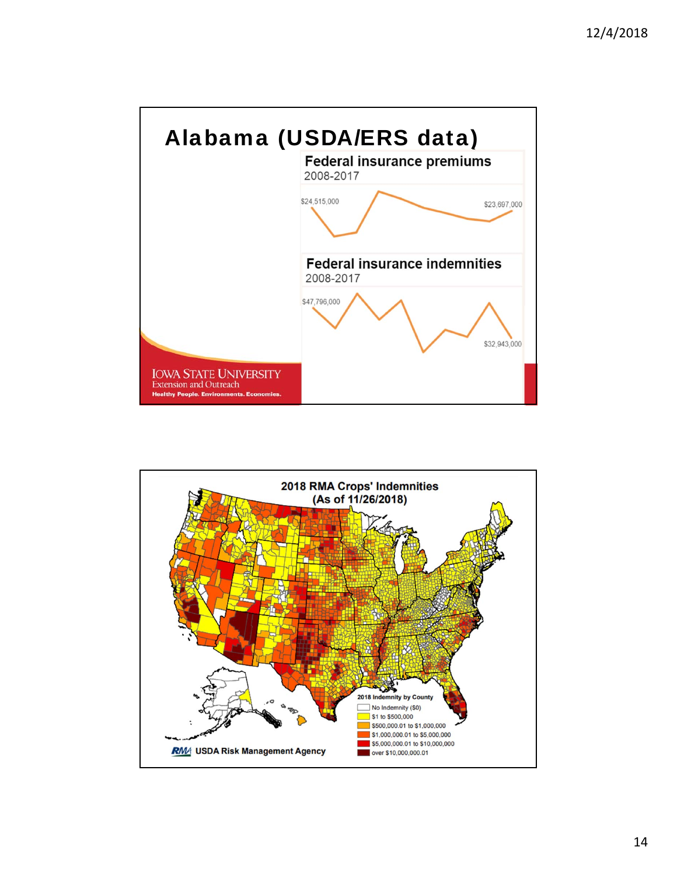

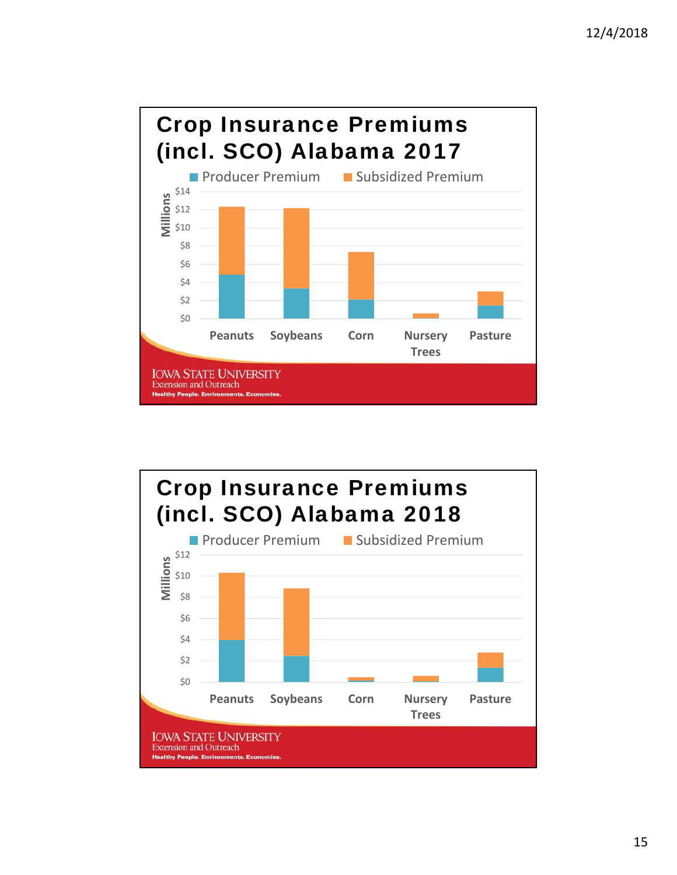

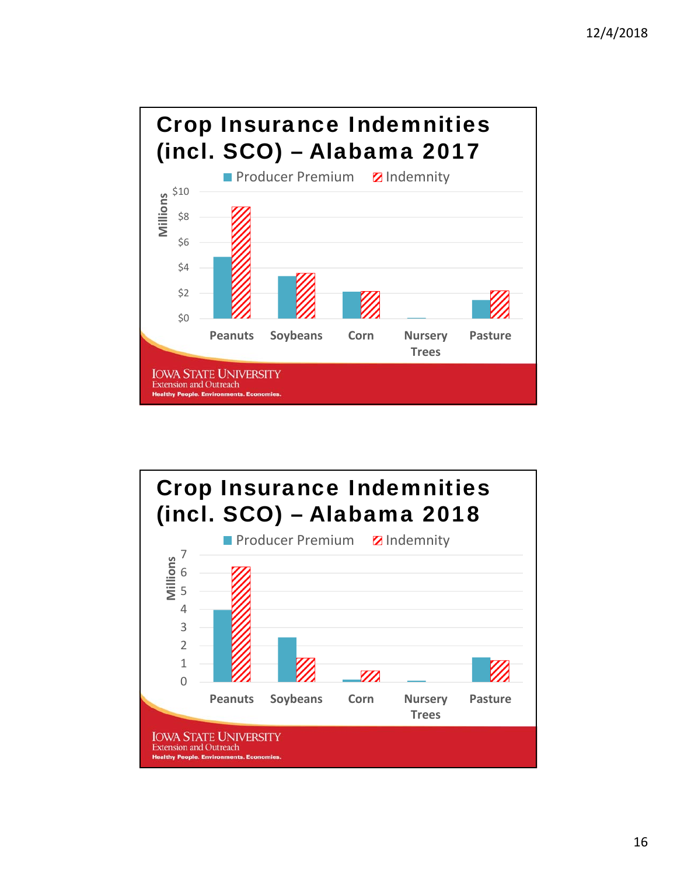

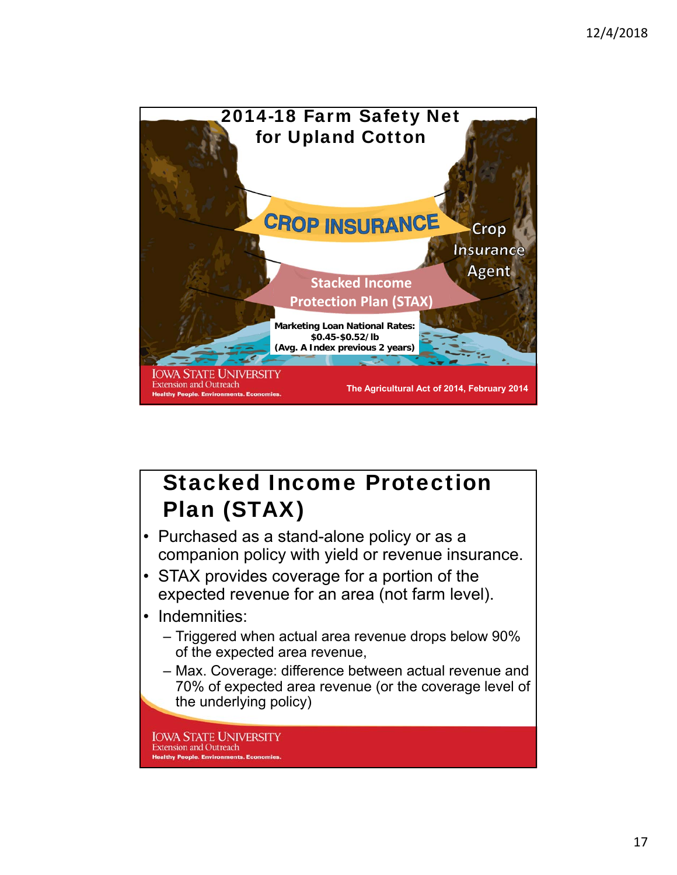

# Stacked Income Protection Plan (STAX)

- Purchased as a stand-alone policy or as a companion policy with yield or revenue insurance.
- STAX provides coverage for a portion of the expected revenue for an area (not farm level).
- Indemnities:
	- Triggered when actual area revenue drops below 90% of the expected area revenue,
	- Max. Coverage: difference between actual revenue and 70% of expected area revenue (or the coverage level of the underlying policy)

**IOWA STATE UNIVERSITY Extension and Outreach Healthy People, Environments, E**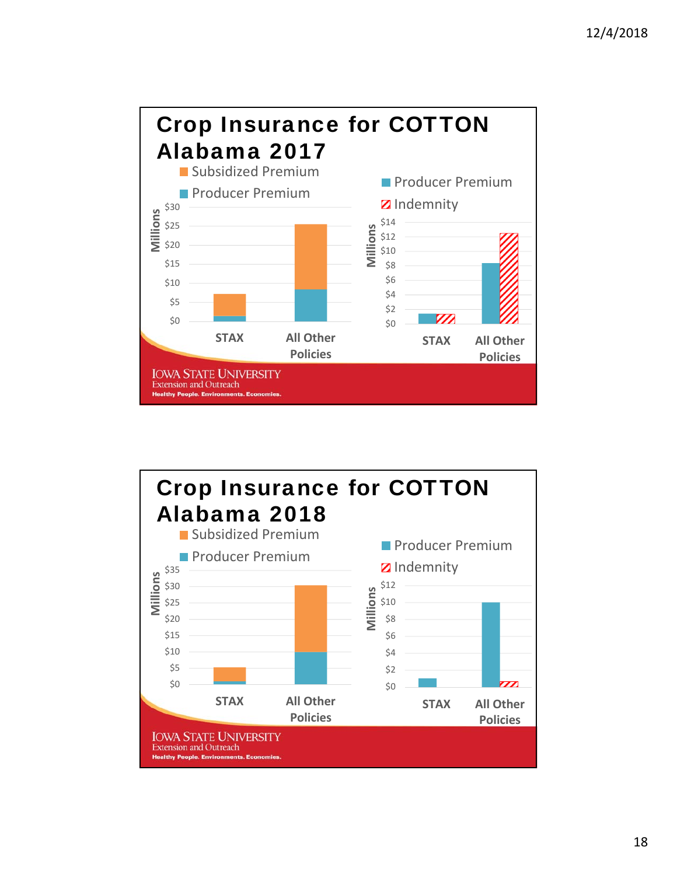

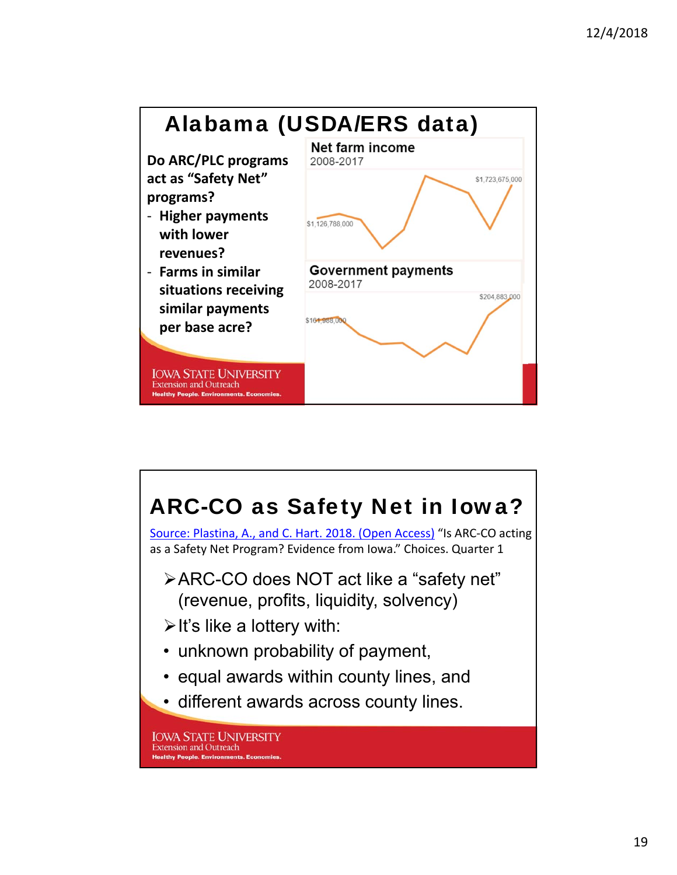